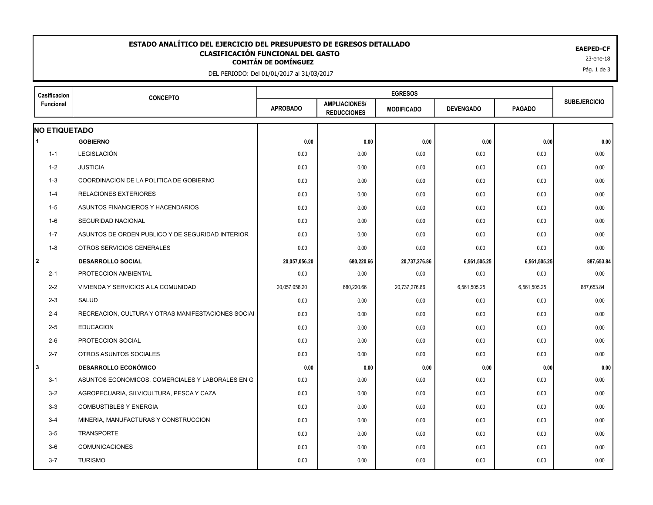## **CLASIFICACIÓN FUNCIONAL DEL GASTO<br>
COMITÁN DE DOMÍNGUEZ<br>
23-ene-18 ESTADO ANALÍTICO DEL EJERCICIO DEL PRESUPUESTO DE EGRESOS DETALLADO EAEPED-CF CLASIFICACIÓN FUNCIONAL DEL GASTO**

DEL PERIODO: Del 01/01/2017 al 31/03/2017

| Casificacion<br>Funcional | <b>CONCEPTO</b>                                    |                 |                                            |                   |                  |               |                     |
|---------------------------|----------------------------------------------------|-----------------|--------------------------------------------|-------------------|------------------|---------------|---------------------|
|                           |                                                    | <b>APROBADO</b> | <b>AMPLIACIONES/</b><br><b>REDUCCIONES</b> | <b>MODIFICADO</b> | <b>DEVENGADO</b> | <b>PAGADO</b> | <b>SUBEJERCICIO</b> |
| <b>NO ETIQUETADO</b>      |                                                    |                 |                                            |                   |                  |               |                     |
| 1                         | <b>GOBIERNO</b>                                    | 0.00            | 0.00                                       | 0.00              | 0.00             | 0.00          | 0.00                |
| $1 - 1$                   | LEGISLACIÓN                                        | 0.00            | 0.00                                       | 0.00              | 0.00             | 0.00          | 0.00                |
| 1-2                       | <b>JUSTICIA</b>                                    | 0.00            | 0.00                                       | 0.00              | 0.00             | 0.00          | 0.00                |
| $1 - 3$                   | COORDINACION DE LA POLITICA DE GOBIERNO            | 0.00            | 0.00                                       | 0.00              | 0.00             | 0.00          | 0.00                |
| $1 - 4$                   | <b>RELACIONES EXTERIORES</b>                       | 0.00            | 0.00                                       | 0.00              | 0.00             | 0.00          | 0.00                |
| $1-5$                     | ASUNTOS FINANCIEROS Y HACENDARIOS                  | 0.00            | 0.00                                       | 0.00              | 0.00             | 0.00          | 0.00                |
| $1-6$                     | SEGURIDAD NACIONAL                                 | 0.00            | 0.00                                       | 0.00              | 0.00             | 0.00          | 0.00                |
| $1 - 7$                   | ASUNTOS DE ORDEN PUBLICO Y DE SEGURIDAD INTERIOR   | 0.00            | 0.00                                       | 0.00              | 0.00             | 0.00          | 0.00                |
| $1 - 8$                   | OTROS SERVICIOS GENERALES                          | 0.00            | 0.00                                       | 0.00              | 0.00             | 0.00          | 0.00                |
| 2                         | <b>DESARROLLO SOCIAL</b>                           | 20,057,056.20   | 680,220.66                                 | 20,737,276.86     | 6,561,505.25     | 6,561,505.25  | 887,653.84          |
| $2 - 1$                   | PROTECCION AMBIENTAL                               | 0.00            | 0.00                                       | 0.00              | 0.00             | 0.00          | 0.00                |
| $2 - 2$                   | VIVIENDA Y SERVICIOS A LA COMUNIDAD                | 20,057,056.20   | 680,220.66                                 | 20,737,276.86     | 6,561,505.25     | 6,561,505.25  | 887,653.84          |
| $2 - 3$                   | SALUD                                              | 0.00            | 0.00                                       | 0.00              | 0.00             | 0.00          | 0.00                |
| $2 - 4$                   | RECREACION, CULTURA Y OTRAS MANIFESTACIONES SOCIAL | 0.00            | 0.00                                       | 0.00              | 0.00             | 0.00          | 0.00                |
| $2 - 5$                   | <b>EDUCACION</b>                                   | 0.00            | 0.00                                       | 0.00              | 0.00             | 0.00          | 0.00                |
| $2-6$                     | PROTECCION SOCIAL                                  | 0.00            | 0.00                                       | 0.00              | 0.00             | 0.00          | 0.00                |
| $2 - 7$                   | OTROS ASUNTOS SOCIALES                             | 0.00            | 0.00                                       | 0.00              | 0.00             | 0.00          | 0.00                |
| 3                         | <b>DESARROLLO ECONÓMICO</b>                        | 0.00            | 0.00                                       | 0.00              | 0.00             | 0.00          | 0.00                |
| $3 - 1$                   | ASUNTOS ECONOMICOS, COMERCIALES Y LABORALES EN GI  | 0.00            | 0.00                                       | 0.00              | 0.00             | 0.00          | 0.00                |
| $3 - 2$                   | AGROPECUARIA, SILVICULTURA, PESCA Y CAZA           | 0.00            | 0.00                                       | 0.00              | 0.00             | 0.00          | 0.00                |
| $3 - 3$                   | <b>COMBUSTIBLES Y ENERGIA</b>                      | 0.00            | 0.00                                       | 0.00              | 0.00             | 0.00          | 0.00                |
| $3 - 4$                   | MINERIA, MANUFACTURAS Y CONSTRUCCION               | 0.00            | 0.00                                       | 0.00              | 0.00             | 0.00          | 0.00                |
| $3-5$                     | <b>TRANSPORTE</b>                                  | 0.00            | 0.00                                       | 0.00              | 0.00             | 0.00          | 0.00                |
| $3-6$                     | <b>COMUNICACIONES</b>                              | 0.00            | 0.00                                       | 0.00              | 0.00             | 0.00          | 0.00                |
| $3 - 7$                   | <b>TURISMO</b>                                     | 0.00            | 0.00                                       | 0.00              | 0.00             | 0.00          | 0.00                |
|                           |                                                    |                 |                                            |                   |                  |               |                     |

Pág. 1 de 3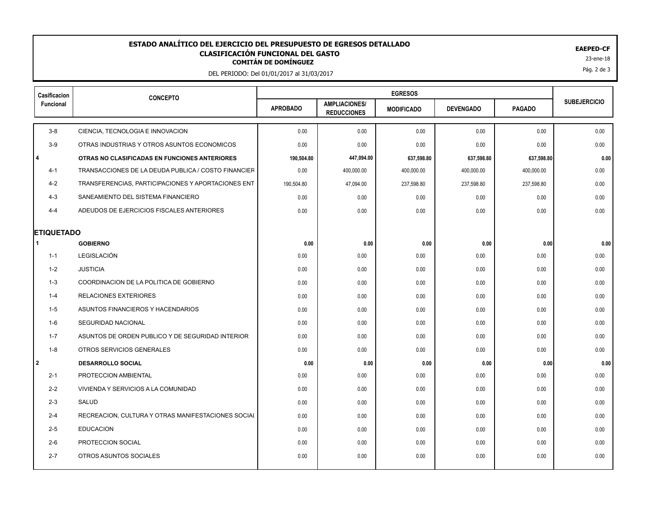## **CLASIFICACIÓN FUNCIONAL DEL GASTO<br>
COMITÁN DE DOMÍNGUEZ<br>
23-ene-18 ESTADO ANALÍTICO DEL EJERCICIO DEL PRESUPUESTO DE EGRESOS DETALLADO EAEPED-CF CLASIFICACIÓN FUNCIONAL DEL GASTO**

DEL PERIODO: Del 01/01/2017 al 31/03/2017

| Casificacion<br>Funcional | <b>CONCEPTO</b>                                     |                 |                                            |                   |                  |               |                     |
|---------------------------|-----------------------------------------------------|-----------------|--------------------------------------------|-------------------|------------------|---------------|---------------------|
|                           |                                                     | <b>APROBADO</b> | <b>AMPLIACIONES/</b><br><b>REDUCCIONES</b> | <b>MODIFICADO</b> | <b>DEVENGADO</b> | <b>PAGADO</b> | <b>SUBEJERCICIO</b> |
| $3 - 8$                   | CIENCIA, TECNOLOGIA E INNOVACION                    | 0.00            | 0.00                                       | 0.00              | 0.00             | 0.00          | 0.00                |
| $3-9$                     | OTRAS INDUSTRIAS Y OTROS ASUNTOS ECONOMICOS         | 0.00            | 0.00                                       | 0.00              | 0.00             | 0.00          | 0.00                |
| l 4                       | OTRAS NO CLASIFICADAS EN FUNCIONES ANTERIORES       | 190,504.80      | 447,094.00                                 | 637,598.80        | 637,598.80       | 637,598.80    | 0.00                |
| $4 - 1$                   | TRANSACCIONES DE LA DEUDA PUBLICA / COSTO FINANCIER | 0.00            | 400,000.00                                 | 400,000.00        | 400,000.00       | 400,000.00    | 0.00                |
| $4 - 2$                   | TRANSFERENCIAS, PARTICIPACIONES Y APORTACIONES ENT  | 190,504.80      | 47,094.00                                  | 237,598.80        | 237,598.80       | 237,598.80    | 0.00                |
| $4 - 3$                   | SANEAMIENTO DEL SISTEMA FINANCIERO                  | 0.00            | 0.00                                       | 0.00              | 0.00             | 0.00          | 0.00                |
| $4 - 4$                   | ADEUDOS DE EJERCICIOS FISCALES ANTERIORES           | 0.00            | 0.00                                       | 0.00              | 0.00             | 0.00          | 0.00                |
| <b>ETIQUETADO</b>         |                                                     |                 |                                            |                   |                  |               |                     |
|                           | <b>GOBIERNO</b>                                     | 0.00            | 0.00                                       | 0.00              | 0.00             | 0.00          | 0.00                |
| $1 - 1$                   | LEGISLACIÓN                                         | 0.00            | 0.00                                       | 0.00              | 0.00             | 0.00          | 0.00                |
| 1-2                       | <b>JUSTICIA</b>                                     | 0.00            | 0.00                                       | 0.00              | 0.00             | 0.00          | 0.00                |
| $1 - 3$                   | COORDINACION DE LA POLITICA DE GOBIERNO             | 0.00            | 0.00                                       | 0.00              | 0.00             | 0.00          | 0.00                |
| $1 - 4$                   | RELACIONES EXTERIORES                               | 0.00            | 0.00                                       | 0.00              | 0.00             | 0.00          | 0.00                |
| $1-5$                     | ASUNTOS FINANCIEROS Y HACENDARIOS                   | 0.00            | 0.00                                       | 0.00              | 0.00             | 0.00          | 0.00                |
| 1-6                       | SEGURIDAD NACIONAL                                  | 0.00            | 0.00                                       | 0.00              | 0.00             | 0.00          | 0.00                |
| $1 - 7$                   | ASUNTOS DE ORDEN PUBLICO Y DE SEGURIDAD INTERIOR    | 0.00            | 0.00                                       | 0.00              | 0.00             | 0.00          | 0.00                |
| $1 - 8$                   | OTROS SERVICIOS GENERALES                           | 0.00            | 0.00                                       | 0.00              | 0.00             | 0.00          | 0.00                |
| 2                         | <b>DESARROLLO SOCIAL</b>                            | 0.00            | 0.00                                       | 0.00              | 0.00             | 0.00          | 0.00                |
| $2 - 1$                   | PROTECCION AMBIENTAL                                | 0.00            | 0.00                                       | 0.00              | 0.00             | 0.00          | 0.00                |
| $2 - 2$                   | VIVIENDA Y SERVICIOS A LA COMUNIDAD                 | 0.00            | 0.00                                       | 0.00              | 0.00             | 0.00          | 0.00                |
| $2 - 3$                   | SALUD                                               | 0.00            | 0.00                                       | 0.00              | 0.00             | 0.00          | 0.00                |
| $2 - 4$                   | RECREACION, CULTURA Y OTRAS MANIFESTACIONES SOCIAL  | 0.00            | 0.00                                       | 0.00              | 0.00             | 0.00          | 0.00                |
| $2 - 5$                   | <b>EDUCACION</b>                                    | 0.00            | 0.00                                       | 0.00              | 0.00             | 0.00          | 0.00                |
| $2 - 6$                   | PROTECCION SOCIAL                                   | 0.00            | 0.00                                       | 0.00              | 0.00             | 0.00          | 0.00                |
| $2 - 7$                   | OTROS ASUNTOS SOCIALES                              | 0.00            | 0.00                                       | 0.00              | 0.00             | 0.00          | 0.00                |
|                           |                                                     |                 |                                            |                   |                  |               |                     |

Pág. 2 de 3